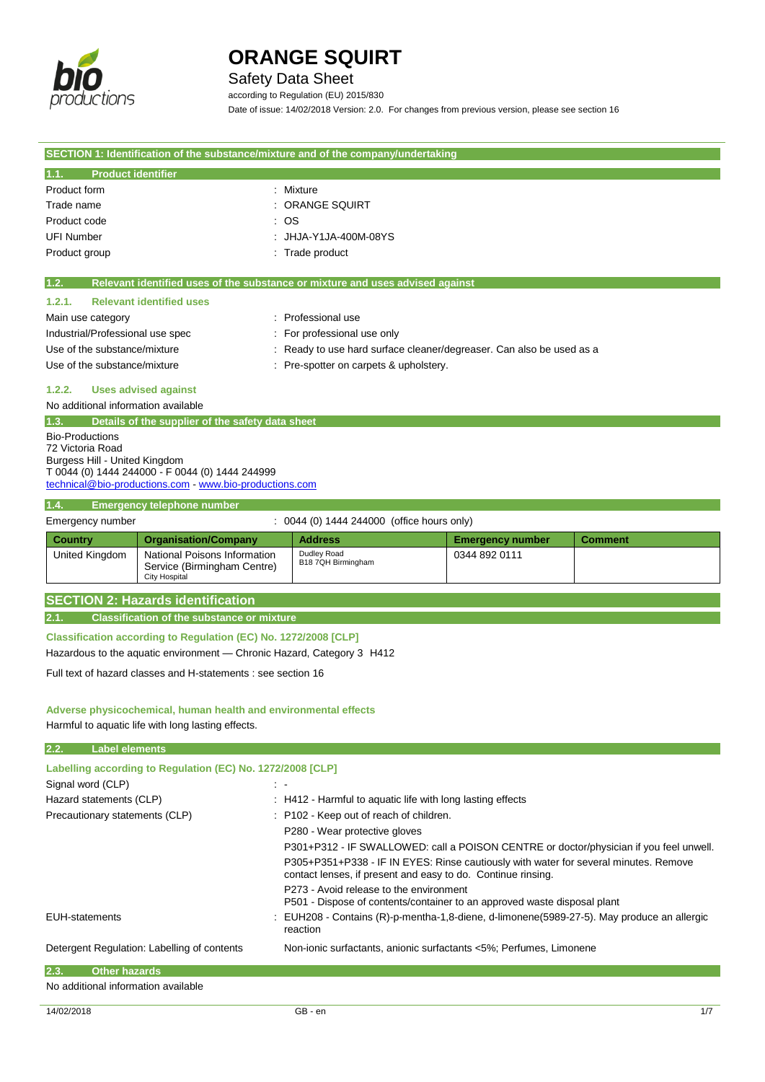

Safety Data Sheet

according to Regulation (EU) 2015/830 Date of issue: 14/02/2018 Version: 2.0. For changes from previous version, please see section 16

|                                                   |                                                                        | SECTION 1: Identification of the substance/mixture and of the company/undertaking      |                         |                |
|---------------------------------------------------|------------------------------------------------------------------------|----------------------------------------------------------------------------------------|-------------------------|----------------|
| <b>Product identifier</b><br>1.1.                 |                                                                        |                                                                                        |                         |                |
| Product form                                      |                                                                        | : Mixture                                                                              |                         |                |
| Trade name                                        |                                                                        | <b>ORANGE SQUIRT</b>                                                                   |                         |                |
| Product code                                      |                                                                        | -OS                                                                                    |                         |                |
| <b>UFI Number</b>                                 |                                                                        | JHJA-Y1JA-400M-08YS                                                                    |                         |                |
| Product group                                     |                                                                        | : Trade product                                                                        |                         |                |
|                                                   |                                                                        |                                                                                        |                         |                |
| 1.2.                                              |                                                                        | Relevant identified uses of the substance or mixture and uses advised against          |                         |                |
| 1.2.1.                                            | <b>Relevant identified uses</b>                                        |                                                                                        |                         |                |
| Main use category                                 |                                                                        | : Professional use                                                                     |                         |                |
| Industrial/Professional use spec                  |                                                                        | : For professional use only                                                            |                         |                |
| Use of the substance/mixture                      |                                                                        | : Ready to use hard surface cleaner/degreaser. Can also be used as a                   |                         |                |
| Use of the substance/mixture                      |                                                                        | : Pre-spotter on carpets & upholstery.                                                 |                         |                |
|                                                   |                                                                        |                                                                                        |                         |                |
| 1.2.2.                                            | <b>Uses advised against</b>                                            |                                                                                        |                         |                |
| No additional information available               |                                                                        |                                                                                        |                         |                |
| 1.3.                                              | Details of the supplier of the safety data sheet                       |                                                                                        |                         |                |
| <b>Bio-Productions</b>                            |                                                                        |                                                                                        |                         |                |
| 72 Victoria Road<br>Burgess Hill - United Kingdom |                                                                        |                                                                                        |                         |                |
|                                                   | T 0044 (0) 1444 244000 - F 0044 (0) 1444 244999                        |                                                                                        |                         |                |
|                                                   | technical@bio-productions.com - www.bio-productions.com                |                                                                                        |                         |                |
| 1.4.                                              | <b>Emergency telephone number</b>                                      |                                                                                        |                         |                |
| Emergency number                                  |                                                                        | : 0044 (0) 1444 244000 (office hours only)                                             |                         |                |
| Country                                           | <b>Organisation/Company</b>                                            | <b>Address</b>                                                                         | <b>Emergency number</b> | <b>Comment</b> |
| United Kingdom                                    | National Poisons Information                                           | Dudley Road                                                                            | 0344 892 0111           |                |
|                                                   | Service (Birmingham Centre)                                            | B18 7QH Birmingham                                                                     |                         |                |
|                                                   | <b>City Hospital</b>                                                   |                                                                                        |                         |                |
|                                                   | <b>SECTION 2: Hazards identification</b>                               |                                                                                        |                         |                |
| 2.1.                                              | <b>Classification of the substance or mixture</b>                      |                                                                                        |                         |                |
|                                                   |                                                                        |                                                                                        |                         |                |
|                                                   | Classification according to Regulation (EC) No. 1272/2008 [CLP]        |                                                                                        |                         |                |
|                                                   | Hazardous to the aquatic environment - Chronic Hazard, Category 3 H412 |                                                                                        |                         |                |
|                                                   | Full text of hazard classes and H-statements : see section 16          |                                                                                        |                         |                |
|                                                   |                                                                        |                                                                                        |                         |                |
|                                                   | Adverse physicochemical, human health and environmental effects        |                                                                                        |                         |                |
|                                                   | Harmful to aquatic life with long lasting effects.                     |                                                                                        |                         |                |
|                                                   |                                                                        |                                                                                        |                         |                |
| 2.2.<br><b>Label elements</b>                     |                                                                        |                                                                                        |                         |                |
|                                                   | Labelling according to Regulation (EC) No. 1272/2008 [CLP]             |                                                                                        |                         |                |
| Signal word (CLP)                                 |                                                                        |                                                                                        |                         |                |
| Hazard statements (CLP)                           |                                                                        | : H412 - Harmful to aquatic life with long lasting effects                             |                         |                |
| Precautionary statements (CLP)                    |                                                                        | : P102 - Keep out of reach of children.                                                |                         |                |
|                                                   |                                                                        | P280 - Wear protective gloves                                                          |                         |                |
|                                                   |                                                                        | P301+P312 - IF SWALLOWED: call a POISON CENTRE or doctor/physician if you feel unwell. |                         |                |
|                                                   |                                                                        | P305+P351+P338 - IF IN EYES: Rinse cautiously with water for several minutes. Remove   |                         |                |
|                                                   |                                                                        | contact lenses, if present and easy to do. Continue rinsing.                           |                         |                |

P273 - Avoid release to the environment

EUH-statements : EUH208 - Contains (R)-p-mentha-1,8-diene, d-limonene(5989-27-5). May produce an allergic

P501 - Dispose of contents/container to an approved waste disposal plant

reaction

Detergent Regulation: Labelling of contents Non-ionic surfactants, anionic surfactants <5%; Perfumes, Limonene

**2.3. Other hazards**

No additional information available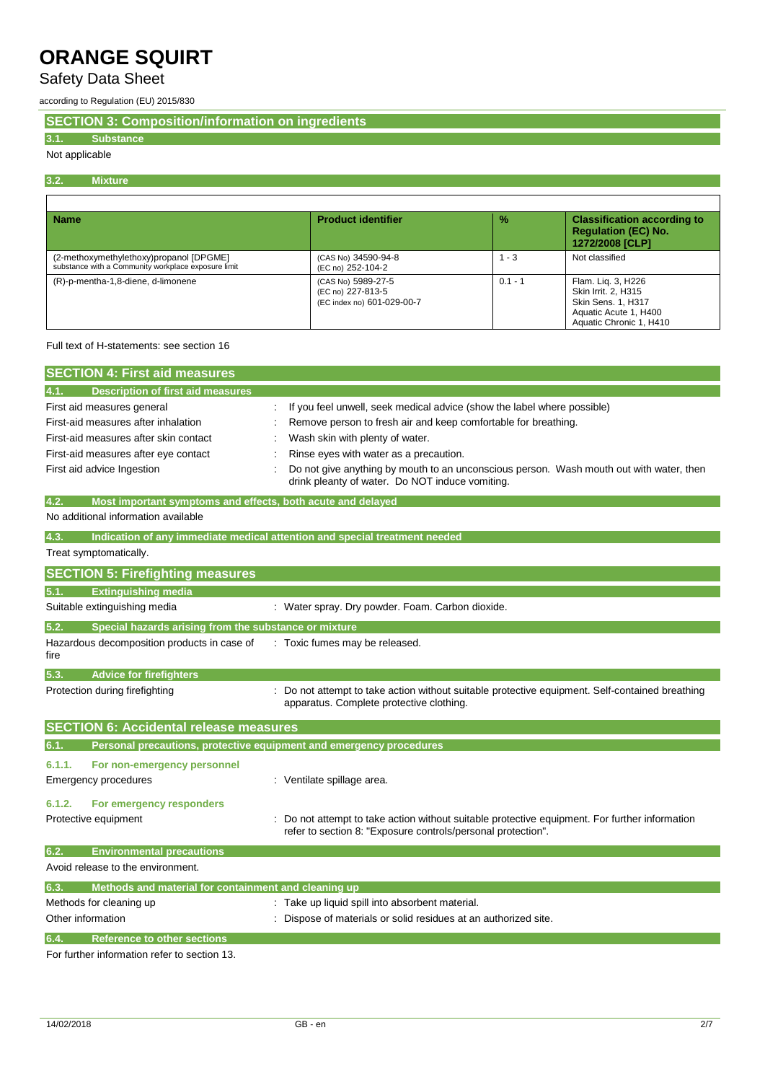## Safety Data Sheet

according to Regulation (EU) 2015/830

**SECTION 3: Composition/information on ingredients**

## **3.1. Substance**

## Not applicable

#### **3.2. Mixture**

| <b>Name</b>                                                                                    | <b>Product identifier</b>                                             | $\frac{9}{6}$ | <b>Classification according to</b><br><b>Requlation (EC) No.</b><br>1272/2008 [CLP]                                        |
|------------------------------------------------------------------------------------------------|-----------------------------------------------------------------------|---------------|----------------------------------------------------------------------------------------------------------------------------|
| (2-methoxymethylethoxy)propanol [DPGME]<br>substance with a Community workplace exposure limit | (CAS No) 34590-94-8<br>(EC no) 252-104-2                              | 1 - 3         | Not classified                                                                                                             |
| (R)-p-mentha-1,8-diene, d-limonene                                                             | (CAS No) 5989-27-5<br>(EC no) 227-813-5<br>(EC index no) 601-029-00-7 | $0.1 - 1$     | Flam. Lig. 3, H226<br><b>Skin Irrit. 2. H315</b><br>Skin Sens. 1, H317<br>Aquatic Acute 1, H400<br>Aquatic Chronic 1, H410 |

### Full text of H-statements: see section 16

| <b>SECTION 4: First aid measures</b>                                               |  |                                                                                                                                            |  |
|------------------------------------------------------------------------------------|--|--------------------------------------------------------------------------------------------------------------------------------------------|--|
| 4.1.<br><b>Description of first aid measures</b>                                   |  |                                                                                                                                            |  |
| First aid measures general                                                         |  | : If you feel unwell, seek medical advice (show the label where possible)                                                                  |  |
| First-aid measures after inhalation                                                |  | : Remove person to fresh air and keep comfortable for breathing.                                                                           |  |
| First-aid measures after skin contact                                              |  | Wash skin with plenty of water.                                                                                                            |  |
| First-aid measures after eye contact                                               |  | Rinse eyes with water as a precaution.                                                                                                     |  |
| First aid advice Ingestion                                                         |  | Do not give anything by mouth to an unconscious person. Wash mouth out with water, then<br>drink pleanty of water. Do NOT induce vomiting. |  |
| 4.2.<br>Most important symptoms and effects, both acute and delayed                |  |                                                                                                                                            |  |
| No additional information available                                                |  |                                                                                                                                            |  |
| 4.3.<br>Indication of any immediate medical attention and special treatment needed |  |                                                                                                                                            |  |

## Treat symptomatically.

|        | <b>SECTION 5: Firefighting measures</b>                             |                                                                                                                                                                |
|--------|---------------------------------------------------------------------|----------------------------------------------------------------------------------------------------------------------------------------------------------------|
| 5.1.   | <b>Extinguishing media</b>                                          |                                                                                                                                                                |
|        | Suitable extinguishing media                                        | : Water spray. Dry powder. Foam. Carbon dioxide.                                                                                                               |
| 5.2.   | Special hazards arising from the substance or mixture               |                                                                                                                                                                |
| fire   | Hazardous decomposition products in case of                         | : Toxic fumes may be released.                                                                                                                                 |
| 5.3.   | <b>Advice for firefighters</b>                                      |                                                                                                                                                                |
|        | Protection during firefighting                                      | : Do not attempt to take action without suitable protective equipment. Self-contained breathing<br>apparatus. Complete protective clothing.                    |
|        | <b>SECTION 6: Accidental release measures</b>                       |                                                                                                                                                                |
| 6.1.   | Personal precautions, protective equipment and emergency procedures |                                                                                                                                                                |
| 6.1.1. | For non-emergency personnel<br>Emergency procedures                 | Ventilate spillage area.                                                                                                                                       |
| 6.1.2. | For emergency responders<br>Protective equipment                    | : Do not attempt to take action without suitable protective equipment. For further information<br>refer to section 8: "Exposure controls/personal protection". |

| 6.2. | <b>Environmental precautions</b>                     |                                                                 |
|------|------------------------------------------------------|-----------------------------------------------------------------|
|      | Avoid release to the environment.                    |                                                                 |
| 6.3. | Methods and material for containment and cleaning up |                                                                 |
|      | Methods for cleaning up                              | : Take up liquid spill into absorbent material.                 |
|      | Other information                                    | : Dispose of materials or solid residues at an authorized site. |
| 6.4. | Reference to other sections                          |                                                                 |

For further information refer to section 13.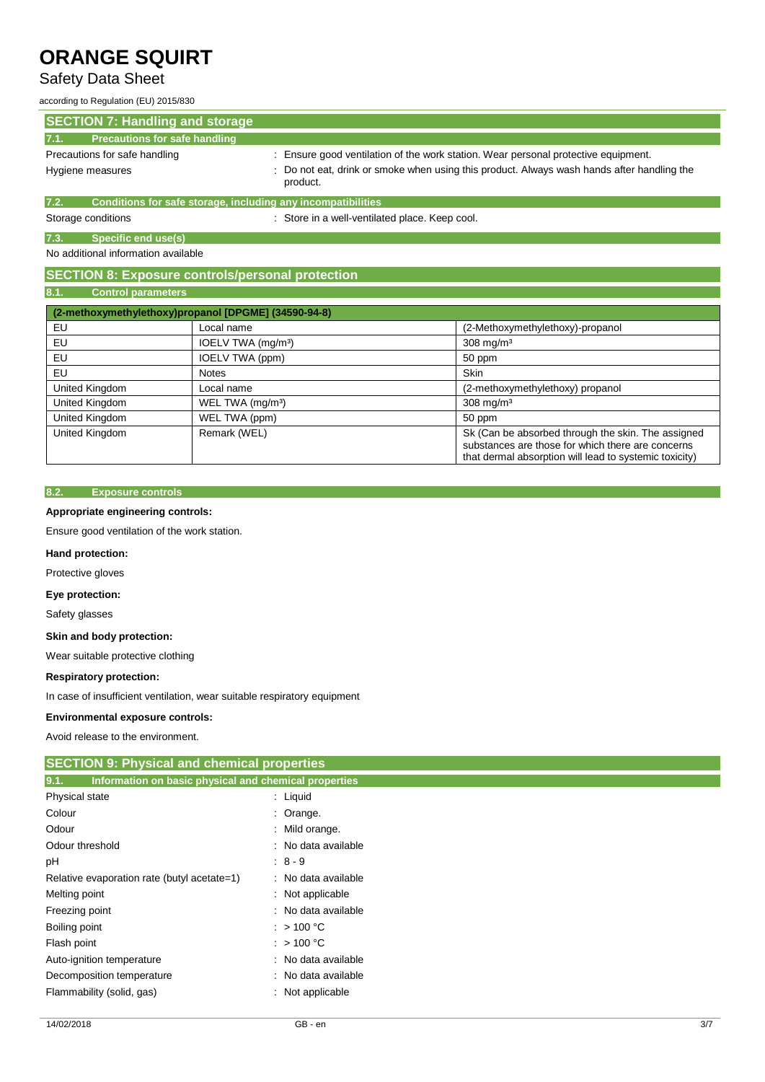## Safety Data Sheet

according to Regulation (EU) 2015/830

| <b>SECTION 7: Handling and storage</b>                               |                                                                                                        |
|----------------------------------------------------------------------|--------------------------------------------------------------------------------------------------------|
| <b>Precautions for safe handling</b><br>7.1.                         |                                                                                                        |
| Precautions for safe handling                                        | : Ensure good ventilation of the work station. Wear personal protective equipment.                     |
| Hygiene measures                                                     | : Do not eat, drink or smoke when using this product. Always wash hands after handling the<br>product. |
| Conditions for safe storage, including any incompatibilities<br>7.2. |                                                                                                        |
| Storage conditions                                                   | : Store in a well-ventilated place. Keep cool.                                                         |

**7.3. Specific end use(s)**

No additional information available

## **SECTION 8: Exposure controls/personal protection**

## **8.1. Control parameters**

|                | (2-methoxymethylethoxy)propanol [DPGME] (34590-94-8) |                                                                                                                                                                   |
|----------------|------------------------------------------------------|-------------------------------------------------------------------------------------------------------------------------------------------------------------------|
| EU             | Local name                                           | (2-Methoxymethylethoxy)-propanol                                                                                                                                  |
| EU             | IOELV TWA (mg/m <sup>3</sup> )                       | $308$ mg/m <sup>3</sup>                                                                                                                                           |
| EU             | IOELV TWA (ppm)                                      | 50 ppm                                                                                                                                                            |
| EU             | <b>Notes</b>                                         | <b>Skin</b>                                                                                                                                                       |
| United Kingdom | Local name                                           | (2-methoxymethylethoxy) propanol                                                                                                                                  |
| United Kingdom | WEL TWA (mg/m <sup>3</sup> )                         | $308$ mg/m <sup>3</sup>                                                                                                                                           |
| United Kingdom | WEL TWA (ppm)                                        | 50 ppm                                                                                                                                                            |
| United Kingdom | Remark (WEL)                                         | Sk (Can be absorbed through the skin. The assigned<br>substances are those for which there are concerns<br>that dermal absorption will lead to systemic toxicity) |

## **8.2. Exposure controls**

## **Appropriate engineering controls:**

Ensure good ventilation of the work station.

### **Hand protection:**

Protective gloves

### **Eye protection:**

Safety glasses

#### **Skin and body protection:**

Wear suitable protective clothing

### **Respiratory protection:**

In case of insufficient ventilation, wear suitable respiratory equipment

#### **Environmental exposure controls:**

Avoid release to the environment.

## **SECTION 9: Physical and chemical properties**

| Information on basic physical and chemical properties<br>9.1. |                                                 |
|---------------------------------------------------------------|-------------------------------------------------|
| Physical state                                                | : Liquid                                        |
| Colour                                                        | $:$ Orange.                                     |
| Odour                                                         | : Mild orange.                                  |
| Odour threshold                                               | : No data available                             |
| рH                                                            | $\begin{array}{ccc} \cdot & 8 & -9 \end{array}$ |
| Relative evaporation rate (butyl acetate=1)                   | : No data available                             |
| Melting point                                                 | : Not applicable                                |
| Freezing point                                                | : No data available                             |
| Boiling point                                                 | : $>100 °C$                                     |
| Flash point                                                   | : $>100 °C$                                     |
| Auto-ignition temperature                                     | : No data available                             |
| Decomposition temperature                                     | : No data available                             |
| Flammability (solid, gas)                                     | : Not applicable                                |
|                                                               |                                                 |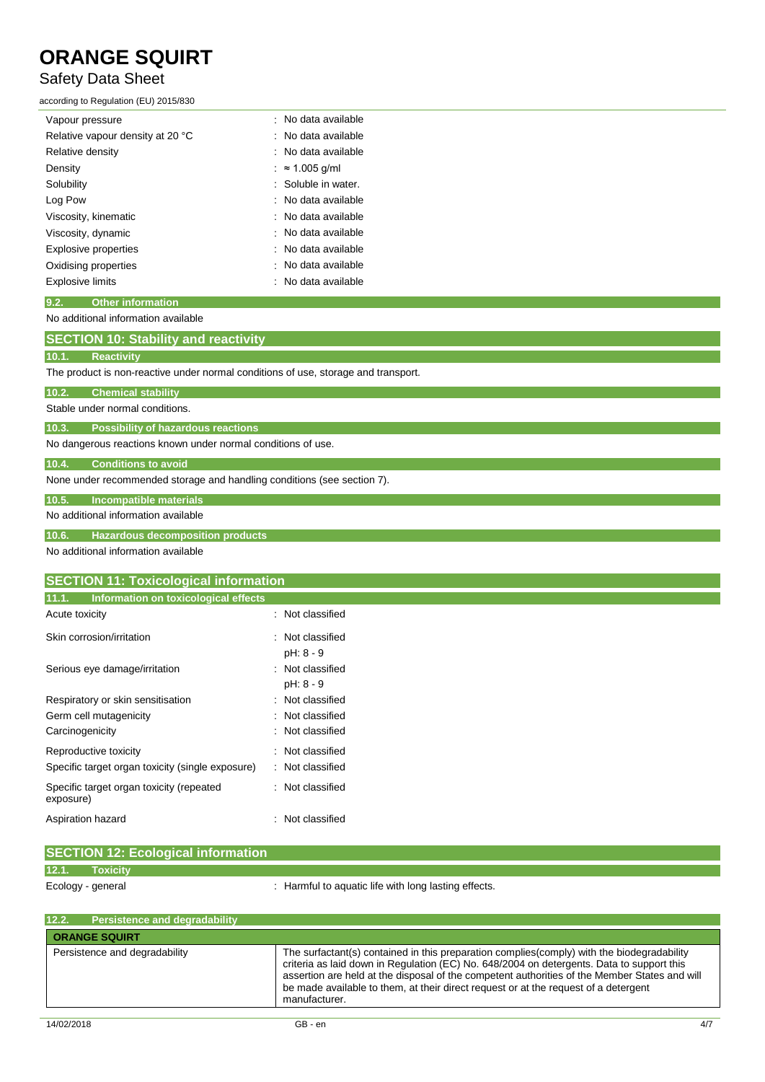## Safety Data Sheet

according to Regulation (EU) 2015/830

| Vapour pressure                  | : No data available  |
|----------------------------------|----------------------|
| Relative vapour density at 20 °C | : No data available  |
| Relative density                 | : No data available  |
| Density                          | $\approx 1.005$ q/ml |
| Solubility                       | : Soluble in water.  |
| Log Pow                          | : No data available  |
| Viscosity, kinematic             | : No data available  |
| Viscosity, dynamic               | : No data available  |
| <b>Explosive properties</b>      | : No data available  |
| Oxidising properties             | : No data available  |
| <b>Explosive limits</b>          | No data available    |

## **9.2. Other information**

No additional information available

## **SECTION 10: Stability and reactivity**

## **10.1. Reactivity**

The product is non-reactive under normal conditions of use, storage and transport.

| 10.2. |                           |  |
|-------|---------------------------|--|
|       | <b>Chemical stability</b> |  |
|       |                           |  |

Stable under normal conditions.

**10.3. Possibility of hazardous reactions**

No dangerous reactions known under normal conditions of use.

## **10.4. Conditions to avoid**

None under recommended storage and handling conditions (see section 7).

## **10.5. Incompatible materials**

No additional information available

## **10.6. Hazardous decomposition products**

No additional information available

## **SECTION 11: Toxicological information**

| 11.1.<br>Information on toxicological effects         |                               |
|-------------------------------------------------------|-------------------------------|
| Acute toxicity                                        | : Not classified              |
| Skin corrosion/irritation                             | : Not classified<br>pH: 8 - 9 |
| Serious eye damage/irritation                         | : Not classified<br>pH: 8 - 9 |
| Respiratory or skin sensitisation                     | : Not classified              |
| Germ cell mutagenicity                                | Not classified                |
| Carcinogenicity                                       | Not classified                |
| Reproductive toxicity                                 | Not classified                |
| Specific target organ toxicity (single exposure)      | Not classified                |
| Specific target organ toxicity (repeated<br>exposure) | Not classified                |
| Aspiration hazard                                     | Not classified                |

| <b>SECTION 12: Ecological information</b> |                                                      |
|-------------------------------------------|------------------------------------------------------|
|                                           |                                                      |
| 12.1.<br><b>Toxicity</b>                  |                                                      |
| Ecology - general                         | : Harmful to aquatic life with long lasting effects. |
|                                           |                                                      |

| <b>ORANGE SQUIRT</b><br>Persistence and degradability<br>The surfactant(s) contained in this preparation complies (comply) with the biodegradability<br>criteria as laid down in Regulation (EC) No. 648/2004 on detergents. Data to support this<br>assertion are held at the disposal of the competent authorities of the Member States and will<br>be made available to them, at their direct request or at the request of a detergent | <b>Persistence and degradability</b><br>12.2. |  |
|-------------------------------------------------------------------------------------------------------------------------------------------------------------------------------------------------------------------------------------------------------------------------------------------------------------------------------------------------------------------------------------------------------------------------------------------|-----------------------------------------------|--|
|                                                                                                                                                                                                                                                                                                                                                                                                                                           |                                               |  |
| manufacturer.                                                                                                                                                                                                                                                                                                                                                                                                                             |                                               |  |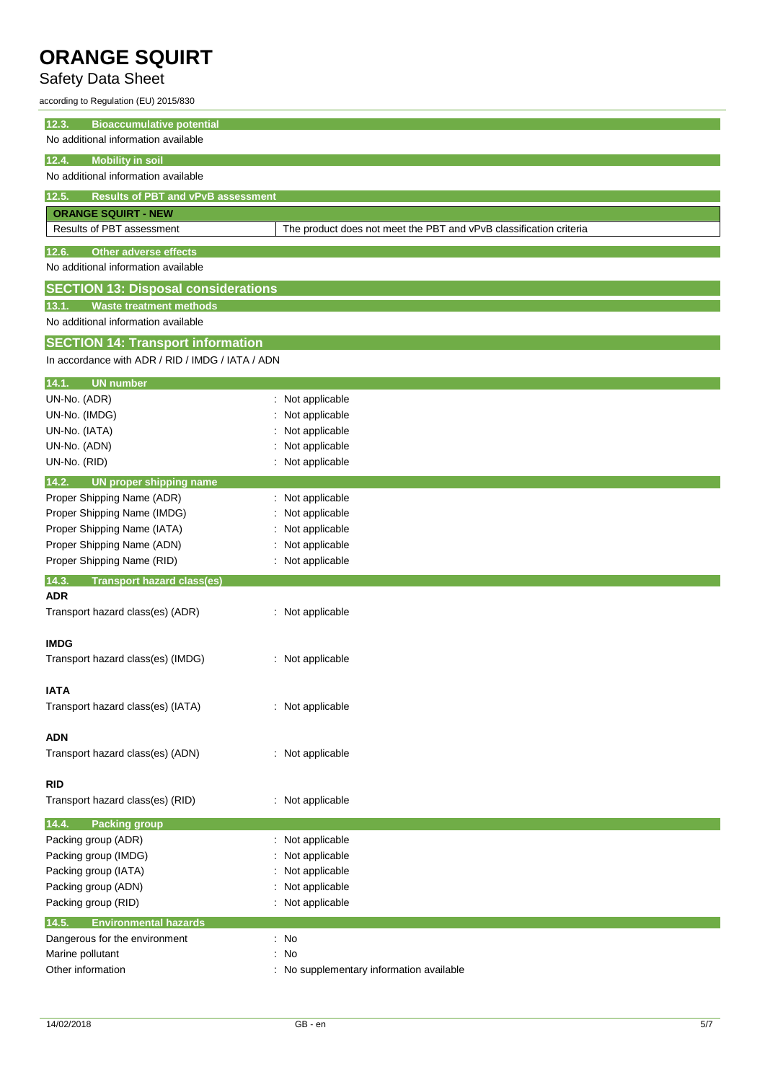## Safety Data Sheet

according to Regulation (EU) 2015/830

| <b>Bioaccumulative potential</b><br>12.3.          |                                                                    |
|----------------------------------------------------|--------------------------------------------------------------------|
| No additional information available                |                                                                    |
|                                                    |                                                                    |
| 12.4.<br><b>Mobility in soil</b>                   |                                                                    |
| No additional information available                |                                                                    |
| <b>Results of PBT and vPvB assessment</b><br>12.5. |                                                                    |
| <b>ORANGE SQUIRT - NEW</b>                         |                                                                    |
| Results of PBT assessment                          | The product does not meet the PBT and vPvB classification criteria |
| <b>Other adverse effects</b><br>12.6.              |                                                                    |
| No additional information available                |                                                                    |
| <b>SECTION 13: Disposal considerations</b>         |                                                                    |
| <b>Waste treatment methods</b><br>13.1.            |                                                                    |
| No additional information available                |                                                                    |
|                                                    |                                                                    |
| <b>SECTION 14: Transport information</b>           |                                                                    |
| In accordance with ADR / RID / IMDG / IATA / ADN   |                                                                    |
| <b>UN number</b><br>14.1.                          |                                                                    |
| UN-No. (ADR)                                       | : Not applicable                                                   |
| UN-No. (IMDG)                                      | Not applicable                                                     |
| UN-No. (IATA)                                      | Not applicable                                                     |
| UN-No. (ADN)                                       | Not applicable                                                     |
| UN-No. (RID)                                       | Not applicable                                                     |
| 14.2.<br>UN proper shipping name                   |                                                                    |
| Proper Shipping Name (ADR)                         | Not applicable                                                     |
| Proper Shipping Name (IMDG)                        | Not applicable                                                     |
| Proper Shipping Name (IATA)                        | Not applicable                                                     |
| Proper Shipping Name (ADN)                         | Not applicable                                                     |
| Proper Shipping Name (RID)                         | Not applicable                                                     |
| 14.3.<br><b>Transport hazard class(es)</b>         |                                                                    |
| <b>ADR</b>                                         |                                                                    |
| Transport hazard class(es) (ADR)                   | : Not applicable                                                   |
|                                                    |                                                                    |
| <b>IMDG</b>                                        |                                                                    |
| Transport hazard class(es) (IMDG)                  | : Not applicable                                                   |
| IATA                                               |                                                                    |
| Transport hazard class(es) (IATA)                  | : Not applicable                                                   |
|                                                    |                                                                    |
| <b>ADN</b>                                         |                                                                    |
| Transport hazard class(es) (ADN)                   | : Not applicable                                                   |
|                                                    |                                                                    |
| <b>RID</b>                                         |                                                                    |
| Transport hazard class(es) (RID)                   | : Not applicable                                                   |
| <b>Packing group</b><br>14.4.                      |                                                                    |
| Packing group (ADR)                                | : Not applicable                                                   |
| Packing group (IMDG)                               | Not applicable                                                     |
| Packing group (IATA)                               | Not applicable                                                     |
| Packing group (ADN)                                | Not applicable                                                     |
| Packing group (RID)                                | Not applicable                                                     |
| <b>Environmental hazards</b><br>14.5.              |                                                                    |
| Dangerous for the environment                      | : No                                                               |
| Marine pollutant                                   | $\therefore$ No                                                    |
| Other information                                  | : No supplementary information available                           |
|                                                    |                                                                    |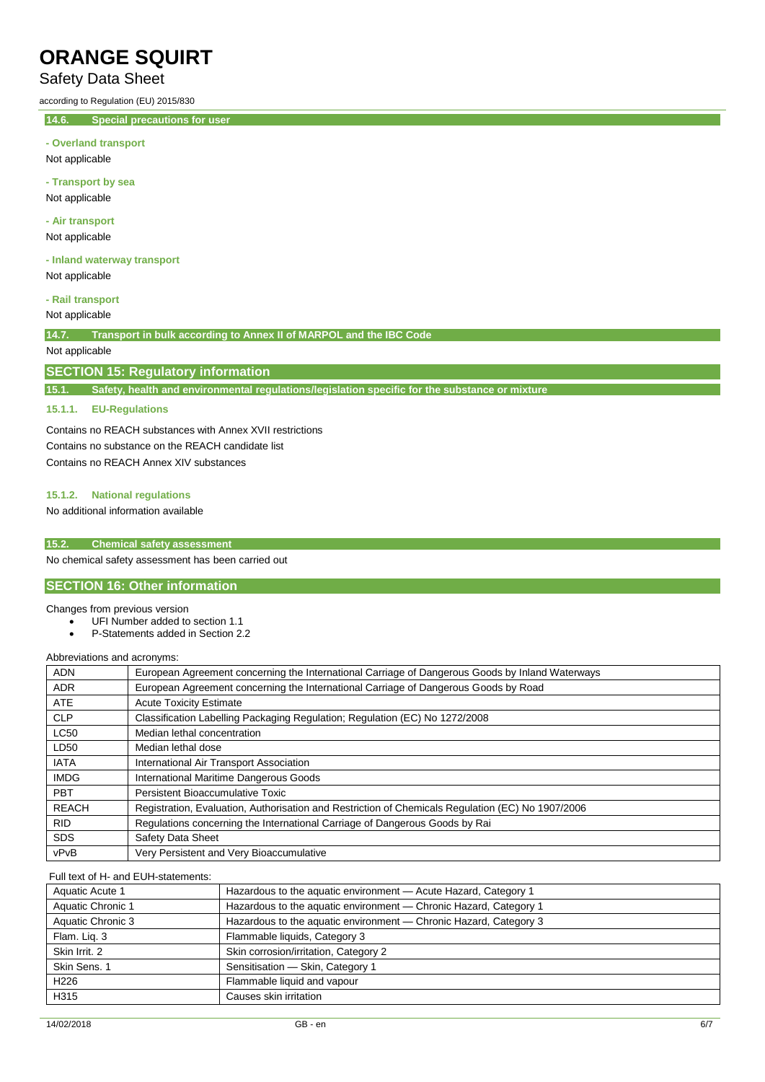## Safety Data Sheet

according to Regulation (EU) 2015/830

**14.6. Special precautions for user**

#### **- Overland transport**

Not applicable

**- Transport by sea** Not applicable

**- Air transport**

Not applicable

**- Inland waterway transport** Not applicable

#### **- Rail transport**

Not applicable

**14.7. Transport in bulk according to Annex II of MARPOL and the IBC Code**

## Not applicable

## **SECTION 15: Regulatory information**

**15.1. Safety, health and environmental regulations/legislation specific for the substance or mixture**

#### **15.1.1. EU-Regulations**

Contains no REACH substances with Annex XVII restrictions Contains no substance on the REACH candidate list Contains no REACH Annex XIV substances

## **15.1.2. National regulations**

No additional information available

### **15.2. Chemical safety assessment**

No chemical safety assessment has been carried out

## **SECTION 16: Other information**

#### Changes from previous version

- UFI Number added to section 1.1
- P-Statements added in Section 2.2

Abbreviations and acronyms:

| <b>ADN</b>   | European Agreement concerning the International Carriage of Dangerous Goods by Inland Waterways   |
|--------------|---------------------------------------------------------------------------------------------------|
| <b>ADR</b>   | European Agreement concerning the International Carriage of Dangerous Goods by Road               |
| <b>ATE</b>   | <b>Acute Toxicity Estimate</b>                                                                    |
| <b>CLP</b>   | Classification Labelling Packaging Regulation; Regulation (EC) No 1272/2008                       |
| <b>LC50</b>  | Median lethal concentration                                                                       |
| LD50         | Median lethal dose                                                                                |
| <b>IATA</b>  | International Air Transport Association                                                           |
| <b>IMDG</b>  | International Maritime Dangerous Goods                                                            |
| <b>PBT</b>   | Persistent Bioaccumulative Toxic                                                                  |
| <b>REACH</b> | Registration, Evaluation, Authorisation and Restriction of Chemicals Regulation (EC) No 1907/2006 |
| <b>RID</b>   | Regulations concerning the International Carriage of Dangerous Goods by Rai                       |
| <b>SDS</b>   | <b>Safety Data Sheet</b>                                                                          |
| vPvB         | Very Persistent and Very Bioaccumulative                                                          |

#### Full text of H- and EUH-statements:

| Aquatic Acute 1   | Hazardous to the aquatic environment - Acute Hazard, Category 1   |
|-------------------|-------------------------------------------------------------------|
| Aquatic Chronic 1 | Hazardous to the aquatic environment - Chronic Hazard, Category 1 |
| Aquatic Chronic 3 | Hazardous to the aquatic environment - Chronic Hazard, Category 3 |
| Flam. Liq. 3      | Flammable liquids, Category 3                                     |
| Skin Irrit. 2     | Skin corrosion/irritation, Category 2                             |
| Skin Sens. 1      | Sensitisation - Skin, Category 1                                  |
| H <sub>226</sub>  | Flammable liquid and vapour                                       |
| H315              | Causes skin irritation                                            |